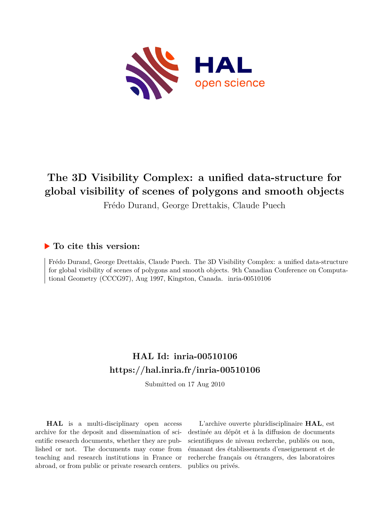

# **The 3D Visibility Complex: a unified data-structure for global visibility of scenes of polygons and smooth objects**

Frédo Durand, George Drettakis, Claude Puech

## **To cite this version:**

Frédo Durand, George Drettakis, Claude Puech. The 3D Visibility Complex: a unified data-structure for global visibility of scenes of polygons and smooth objects. 9th Canadian Conference on Computational Geometry (CCCG97), Aug 1997, Kingston, Canada. inria-00510106

## **HAL Id: inria-00510106 <https://hal.inria.fr/inria-00510106>**

Submitted on 17 Aug 2010

**HAL** is a multi-disciplinary open access archive for the deposit and dissemination of scientific research documents, whether they are published or not. The documents may come from teaching and research institutions in France or abroad, or from public or private research centers.

L'archive ouverte pluridisciplinaire **HAL**, est destinée au dépôt et à la diffusion de documents scientifiques de niveau recherche, publiés ou non, émanant des établissements d'enseignement et de recherche français ou étrangers, des laboratoires publics ou privés.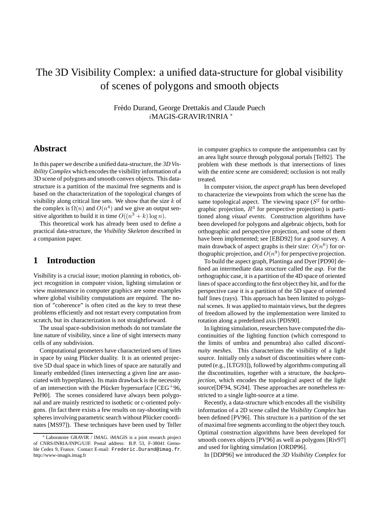## The 3D Visibility Complex: a unified data-structure for global visibility of scenes of polygons and smooth objects

Frédo Durand, George Drettakis and Claude Puech iMAGIS-GRAVIR/INRIA <sup>∗</sup>

## **Abstract**

In this paper we describe a unified data-structure, the *3D Visibility Complex* which encodes the visibility information of a 3D scene of polygons and smooth convex objects. This datastructure is a partition of the maximal free segments and is based on the characterization of the topological changes of visibility along critical line sets. We show that the size  $k$  of the complex is  $\Omega(n)$  and  $O(n^4)$  and we give an output sensitive algorithm to build it in time  $O((n^3 + k) \log n)$ .

This theoretical work has already been used to define a practical data-structure, the *Visibility Skeleton* described in a companion paper.

### **1 Introduction**

Visibility is a crucial issue; motion planning in robotics, object recognition in computer vision, lighting simulation or view maintenance in computer graphics are some examples where global visibility computations are required. The notion of "coherence" is often cited as the key to treat these problems efficiently and not restart every computation from scratch, but its characterization is not straightforward.

The usual space-subdivision methods do not translate the line nature of visibility, since a line of sight intersects many cells of any subdivision.

Computational geometers have characterized sets of lines in space by using Plücker duality. It is an oriented projective 5D dual space in which lines of space are naturally and linearly embedded (lines intersecting a given line are associated with hyperplanes). Its main drawback is the necessity of an intersection with the Plücker hypersurface  $[CEG^+96,$ Pel90]. The scenes considered have always been polygonal and are mainly restricted to isothetic or c-oriented polygons. (In fact there exists a few results on ray-shooting with spheres involving parametric search without Plücker coordinates [MS97]). These techniques have been used by Teller in computer graphics to compute the antipenumbra cast by an area light source through polygonal portals [Tel92]. The problem with these methods is that intersections of lines with the entire scene are considered; occlusion is not really treated.

In computer vision, the *aspect graph* has been developed to characterize the viewpoints from which the scene has the same topological aspect. The viewing space ( $S<sup>2</sup>$  for orthographic projection,  $R^3$  for perspective projection) is partitioned along *visual events*. Construction algorithms have been developed for polygons and algebraic objects, both for orthographic and perspective projection, and some of them have been implemented; see [EBD92] for a good survey. A main drawback of aspect graphs is their size:  $O(n^6)$  for orthographic projection, and  $O(n^9)$  for perspective projection.

To build the aspect graph, Plantinga and Dyer [PD90] defined an intermediate data structure called the *asp*. For the orthographic case, it is a partition of the 4D space of oriented lines of space according to the first object they hit, and for the perspective case it is a partition of the 5D space of oriented half lines (rays). This approach has been limited to polygonal scenes. It was applied to maintain views, but the degrees of freedom allowed by the implementation were limited to rotation along a predefined axis [PDS90].

In lighting simulation, researchers have computed the discontinuities of the lighting function (which correspond to the limits of umbra and penumbra) also called *discontinuity meshes*. This characterizes the visibility of a light source. Initially only a subset of discontinuities where computed (e.g., [LTG93]), followed by algorithms computing all the discontinuities, together with a structure, the *backprojection*, which encodes the topological aspect of the light source[DF94, SG94]. These approaches are nonetheless restricted to a single light-source at a time.

Recently, a data-structure which encodes all the visibility information of a 2D scene called the *Visibility Complex* has been defined [PV96]. This structure is a partition of the set of maximal free segments according to the object they touch. Optimal construction algorithms have been developed for smooth convex objects [PV96] as well as polygons [Riv97] and used for lighting simulation [ORDP96].

In [DDP96] we introduced the *3D Visibility Complex* for

<sup>∗</sup> Laboratoire GRAVIR / IMAG. iMAGIS is a joint research project of CNRS/INRIA/INPG/UJF. Postal address: B.P. 53, F-38041 Grenoble Cedex 9, France. Contact E-mail: Frederic.Durand@imag.fr. http://www-imagis.imag.fr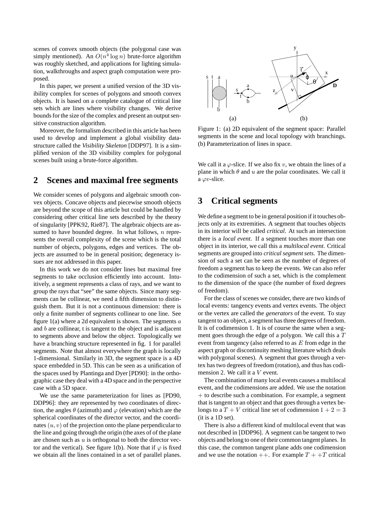scenes of convex smooth objects (the polygonal case was simply mentioned). An  $O(n^4 \log n)$  brute-force algorithm was roughly sketched, and applications for lighting simulation, walkthroughs and aspect graph computation were proposed.

In this paper, we present a unified version of the 3D visibility complex for scenes of polygons and smooth convex objects. It is based on a complete catalogue of critical line sets which are lines where visibility changes. We derive bounds for the size of the complex and present an output sensitive construction algorithm.

Moreover, the formalism described in this article has been used to develop and implement a global visibility datastructure called the *Visibility Skeleton* [DDP97]. It is a simplified version of the 3D visibility complex for polygonal scenes built using a brute-force algorithm.

### **2 Scenes and maximal free segments**

We consider scenes of polygons and algebraic smooth convex objects. Concave objects and piecewise smooth objects are beyond the scope of this article but could be handled by considering other critical line sets described by the theory of singularity [PPK92, Rie87]. The algebraic objects are assumed to have bounded degree. In what follows,  $n$  represents the overall complexity of the scene which is the total number of objects, polygons, edges and vertices. The objects are assumed to be in general position; degeneracy issues are not addressed in this paper.

In this work we do not consider lines but maximal free segments to take occlusion efficiently into account. Intuitively, a segment represents a class of rays, and we want to group the rays that "see" the same objects. Since many segments can be collinear, we need a fifth dimension to distinguish them. But it is not a continuous dimension: there is only a finite number of segments collinear to one line. See figure  $1(a)$  where a 2d equivalent is shown. The segments  $a$ and b are collinear, t is tangent to the object and is adjacent to segments above and below the object. Topologically we have a branching structure represented in fig. 1 for parallel segments. Note that almost everywhere the graph is locally 1-dimensional. Similarly in 3D, the segment space is a 4D space embedded in 5D. This can be seen as a unification of the spaces used by Plantinga and Dyer [PD90]: in the orthographic case they deal with a 4D space and in the perspective case with a 5D space.

We use the same parameterization for lines as [PD90, DDP96]: they are represented by two coordinates of direction, the angles  $\theta$  (azimuth) and  $\varphi$  (elevation) which are the spherical coordinates of the director vector, and the coordinates  $(u, v)$  of the projection onto the plane perpendicular to the line and going through the origin (the axes of of the plane are chosen such as  $u$  is orthogonal to both the director vector and the vertical). See figure 1(b). Note that if  $\varphi$  is fixed we obtain all the lines contained in a set of parallel planes.



Figure 1: (a) 2D equivalent of the segment space: Parallel segments in the scene and local topology with branchings. (b) Parameterization of lines in space.

We call it a  $\varphi$ -slice. If we also fix v, we obtain the lines of a plane in which  $\theta$  and  $u$  are the polar coordinates. We call it a  $\varphi v$ -slice.

## **3 Critical segments**

We define a segment to be in general position if it touches objects only at its extremities. A segment that touches objects in its interior will be called *critical*. At such an intersection there is a *local event*. If a segment touches more than one object in its interior, we call this a *multilocal event*. Critical segments are grouped into *critical segment sets*. The dimension of such a set can be seen as the number of degrees of freedom a segment has to keep the events. We can also refer to the codimension of such a set, which is the complement to the dimension of the space (the number of fixed degrees of freedom).

For the class of scenes we consider, there are two kinds of local events: tangency events and vertex events. The object or the vertex are called the *generators* of the event. To stay tangent to an object, a segment has three degrees of freedom. It is of codimension 1. It is of course the same when a segment goes through the edge of a polygon. We call this a T event from tangency (also referred to as  $E$  from edge in the aspect graph or discontinuity meshing literature which deals with polygonal scenes). A segment that goes through a vertex has two degrees of freedom (rotation), and thus has codimension 2. We call it a V event.

The combination of many local events causes a multilocal event, and the codimensions are added. We use the notation  $+$  to describe such a combination. For example, a segment that is tangent to an object and that goes through a vertex belongs to a  $T + V$  critical line set of codimension  $1 + 2 = 3$ (it is a 1D set).

There is also a different kind of multilocal event that was not described in [DDP96]. A segment can be tangent to two objects and belong to one of their common tangent planes. In this case, the common tangent plane adds one codimension and we use the notation  $++$ . For example  $T + +T$  critical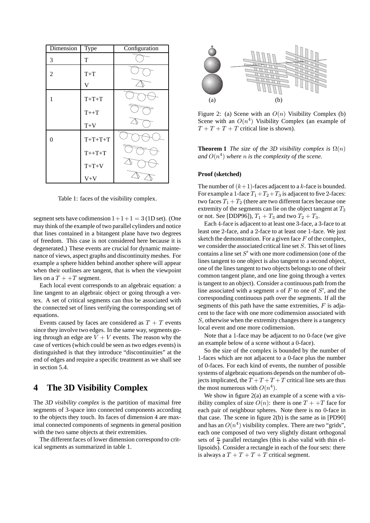| Dimension | Type                    | Configuration |
|-----------|-------------------------|---------------|
| 3         | T                       |               |
| 2         | $T+T$                   |               |
|           | $\overline{\mathsf{V}}$ |               |
| 1         | $T+T+T$                 |               |
|           | $T++T$                  |               |
|           | $T+V$                   |               |
| 0         | $T+T+T+T$               |               |
|           | $T++T+T$                |               |
|           | $T+T+V$                 |               |
|           | $V+V$                   |               |

Table 1: faces of the visibility complex.

segment sets have codimension  $1+1+1 = 3$  (1D set). (One may think of the example of two parallel cylinders and notice that lines contained in a bitangent plane have two degrees of freedom. This case is not considered here because it is degenerated.) These events are crucial for dynamic maintenance of views, aspect graphs and discontinuity meshes. For example a sphere hidden behind another sphere will appear when their outlines are tangent, that is when the viewpoint lies on a  $T + +T$  segment.

Each local event corresponds to an algebraic equation: a line tangent to an algebraic object or going through a vertex. A set of critical segments can thus be associated with the connected set of lines verifying the corresponding set of equations.

Events caused by faces are considered as  $T + T$  events since they involve two edges. In the same way, segments going through an edge are  $V + V$  events. The reason why the case of vertices (which could be seen as two edges events) is distinguished is that they introduce "discontinuities" at the end of edges and require a specific treatment as we shall see in section 5.4.

## **4 The 3D Visibility Complex**

The *3D visibility complex* is the partition of maximal free segments of 3-space into connected components according to the objects they touch. Its faces of dimension 4 are maximal connected components of segments in general position with the two same objects at their extremities.

The different faces of lower dimension correspond to critical segments as summarized in table 1.



Figure 2: (a) Scene with an  $O(n)$  Visibility Complex (b) Scene with an  $O(n^4)$  Visibility Complex (an example of  $T + T + T + T$  critical line is shown).

**Theorem 1** *The size of the 3D visibility complex is*  $\Omega(n)$ and  $O(n^4)$  where *n* is the complexity of the scene.

#### **Proof (sketched)**

The number of  $(k+1)$ -faces adjacent to a k-face is bounded. For example a 1-face  $T_1+T_2+T_3$  is adjacent to five 2-faces: two faces  $T_1 + T_2$  (there are two different faces because one extremity of the segments can lie on the object tangent at  $T_2$ or not. See [DDP96]),  $T_1 + T_3$  and two  $T_2 + T_3$ .

Each 4-face is adjacent to at least one 3-face, a 3-face to at least one 2-face, and a 2-face to at least one 1-face. We just sketch the demonstration. For a given face  $F$  of the complex, we consider the associated critical line set S. This set of lines contains a line set  $S'$  with one more codimension (one of the lines tangent to one object is also tangent to a second object, one of the lines tangent to two objects belongs to one of their common tangent plane, and one line going through a vertex is tangent to an object). Consider a continuous path from the line associated with a segment s of  $F$  to one of  $S'$ , and the corresponding continuous path over the segments. If all the segments of this path have the same extremities,  $F$  is adjacent to the face with one more codimension associated with S, otherwise when the extremity changes there is a tangency local event and one more codimension.

Note that a 1-face may be adjacent to no 0-face (we give an example below of a scene without a 0-face).

So the size of the complex is bounded by the number of 1-faces which are not adjacent to a 0-face plus the number of 0-faces. For each kind of events, the number of possible systems of algebraic equations depends on the number of objects implicated, the  $T + T + T + T$  critical line sets are thus the most numerous with  $O(n^4)$ .

We show in figure  $2(a)$  an example of a scene with a visibility complex of size  $O(n)$ : there is one  $T + T$  face for each pair of neighbour spheres. Note there is no 0-face in that case. The scene in figure 2(b) is the same as in [PD90] and has an  $O(n^4)$  visibility complex. There are two "grids", each one composed of two very slightly distant orthogonal sets of  $\frac{n}{4}$  parallel rectangles (this is also valid with thin ellipsoids). Consider a rectangle in each of the four sets: there is always a  $T + T + T + T$  critical segment.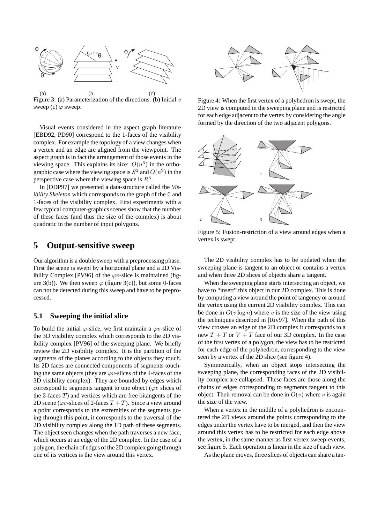

(a)  $(b)$   $(c)$ Figure 3: (a) Parameterization of the directions. (b) Initial  $v$ sweep (c)  $\varphi$  sweep.

Visual events considered in the aspect graph literature [EBD92, PD90] correspond to the 1-faces of the visibility complex. For example the topology of a view changes when a vertex and an edge are aligned from the viewpoint. The aspect graph is in fact the arrangement of those events in the viewing space. This explains its size:  $O(n^6)$  in the orthographic case where the viewing space is  $S^2$  and  $O(n^9)$  in the perspective case where the viewing space is  $R^3$ .

In [DDP97] we presented a data-structure called the *Visibility Skeleton* which corresponds to the graph of the 0 and 1-faces of the visibility complex. First experiments with a few typical computer-graphics scenes show that the number of these faces (and thus the size of the complex) is about quadratic in the number of input polygons.

#### **5 Output-sensitive sweep**

Our algorithm is a double sweep with a preprocessing phase. First the scene is swept by a horizontal plane and a 2D Visibility Complex [PV96] of the  $\varphi v$ -slice is maintained (figure 3(b)). We then sweep  $\varphi$  (figure 3(c)), but some 0-faces can not be detected during this sweep and have to be preprocessed.

#### **5.1 Sweeping the initial slice**

To build the initial  $\varphi$ -slice, we first maintain a  $\varphi v$ -slice of the 3D visibility complex which corresponds to the 2D visibility complex [PV96] of the sweeping plane. We briefly review the 2D visibility complex. It is the partition of the segments of the planes according to the objects they touch. Its 2D faces are connected components of segments touching the same objects (they are  $\varphi v$ -slices of the 4-faces of the 3D visibility complex). They are bounded by edges which correspond to segments tangent to one object ( $\varphi v$  slices of the 3-faces  $T$ ) and vertices which are free bitangents of the 2D scene ( $\varphi v$ -slices of 2-faces  $T + T$ ). Since a view around a point corresponds to the extremities of the segments going through this point, it corresponds to the traversal of the 2D visibility complex along the 1D path of these segments. The object seen changes when the path traverses a new face, which occurs at an edge of the 2D complex. In the case of a polygon, the chain of edges of the 2D complex going through one of its vertices is the view around this vertex.



Figure 4: When the first vertex of a polyhedron is swept, the 2D view is computed in the sweeping plane and is restricted for each edge adjacent to the vertex by considering the angle formed by the direction of the two adjacent polygons.



Figure 5: Fusion-restriction of a view around edges when a vertex is swept

The 2D visibility complex has to be updated when the sweeping plane is tangent to an object or contains a vertex and when three 2D slices of objects share a tangent.

When the sweeping plane starts intersecting an object, we have to "insert" this object in our 2D complex. This is done by computing a view around the point of tangency or around the vertex using the current 2D visibility complex. This can be done in  $O(v \log n)$  where v is the size of the view using the techniques described in [Riv97]. When the path of this view crosses an edge of the 2D complex it corresponds to a new  $T + T$  or  $V + T$  face of our 3D complex. In the case of the first vertex of a polygon, the view has to be restricted for each edge of the polyhedron, corresponding to the view seen by a vertex of the 2D slice (see figure 4).

Symmetrically, when an object stops intersecting the sweeping plane, the corresponding faces of the 2D visibility complex are collapsed. These faces are those along the chains of edges corresponding to segments tangent to this object. Their removal can be done in  $O(v)$  where v is again the size of the view.

When a vertex in the middle of a polyhedron is encountered the 2D views around the points corresponding to the edges under the vertex have to be merged, and then the view around this vertex has to be restricted for each edge above the vertex, in the same manner as first vertex sweep-events, see figure 5. Each operation is linear in the size of each view.

As the plane moves, three slices of objects can share a tan-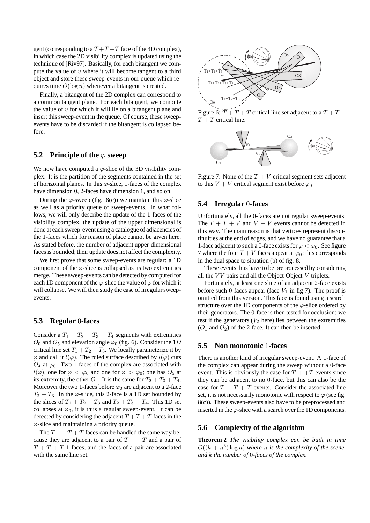gent (corresponding to a  $T+T+T$  face of the 3D complex), in which case the 2D visibility complex is updated using the technique of [Riv97]. Basically, for each bitangent we compute the value of  $v$  where it will become tangent to a third object and store these sweep-events in our queue which requires time  $O(\log n)$  whenever a bitangent is created.

Finally, a bitangent of the 2D complex can correspond to a common tangent plane. For each bitangent, we compute the value of  $v$  for which it will lie on a bitangent plane and insert this sweep-event in the queue. Of course, these sweepevents have to be discarded if the bitangent is collapsed before.

#### **5.2** Principle of the  $\phi$  sweep

We now have computed a  $\varphi$ -slice of the 3D visibility complex. It is the partition of the segments contained in the set of horizontal planes. In this  $\varphi$ -slice, 1-faces of the complex have dimension 0, 2-faces have dimension 1, and so on.

During the  $\varphi$ -sweep (fig. 8(c)) we maintain this  $\varphi$ -slice as well as a priority queue of sweep-events. In what follows, we will only describe the update of the 1-faces of the visibility complex, the update of the upper dimensional is done at each sweep-event using a catalogue of adjacencies of the 1-faces which for reason of place cannot be given here. As stated before, the number of adjacent upper-dimensional faces is bounded; their update does not affect the complexity.

We first prove that some sweep-events are regular: a 1D component of the  $\varphi$ -slice is collapsed as its two extremities merge. These sweep-events can be detected by computed for each 1D component of the  $\varphi$ -slice the value of  $\varphi$  for which it will collapse. We will then study the case of irregular sweepevents.

#### **5.3 Regular** 0**-faces**

Consider a  $T_1 + T_2 + T_3 + T_4$  segments with extremities  $O_0$  and  $O_5$  and elevation angle  $\varphi_0$  (fig. 6). Consider the 1D critical line set  $T_1 + T_2 + T_3$ . We locally parameterize it by  $\varphi$  and call it  $l(\varphi)$ . The ruled surface described by  $l(\varphi)$  cuts  $O_4$  at  $\varphi_0$ . Two 1-faces of the complex are associated with  $l(\varphi)$ , one for  $\varphi < \varphi_0$  and one for  $\varphi > \varphi_0$ ; one has  $O_5$  at its extremity, the other  $O_4$ . It is the same for  $T_2 + T_3 + T_4$ . Moreover the two 1-faces before  $\varphi_0$  are adjacent to a 2-face  $T_2 + T_3$ . In the  $\varphi$ -slice, this 2-face is a 1D set bounded by the slices of  $T_1 + T_2 + T_3$  and  $T_2 + T_3 + T_4$ . This 1D set collapses at  $\varphi_0$ , it is thus a regular sweep-event. It can be detected by considering the adjacent  $T + T + T$  faces in the  $\varphi$ -slice and maintaining a priority queue.

The  $T + T + T$  faces can be handled the same way because they are adjacent to a pair of  $T + T$  and a pair of  $T + T + T$  1-faces, and the faces of a pair are associated with the same line set.



Figure 6:  $\overline{T} + T + T$  critical line set adjacent to a  $T + T + T$  $T + T$  critical line.



Figure 7: None of the  $T + V$  critical segment sets adjacent to this  $V + V$  critical segment exist before  $\varphi_0$ 

#### **5.4 Irregular** 0**-faces**

Unfortunately, all the 0-faces are not regular sweep-events. The  $T + T + V$  and  $V + V$  events cannot be detected in this way. The main reason is that vertices represent discontinuities at the end of edges, and we have no guarantee that a 1-face adjacent to such a 0-face exists for  $\varphi < \varphi_0$ . See figure 7 where the four  $T + V$  faces appear at  $\varphi_0$ ; this corresponds in the dual space to situation (b) of fig. 8.

These events thus have to be preprocessed by considering all the  $VV$  pairs and all the Object-Object- $V$  triplets.

Fortunately, at least one slice of an adjacent 2-face exists before such 0-faces appear (face  $V_1$  in fig 7). The proof is omitted from this version. This face is found using a search structure over the 1D components of the  $\varphi$ -slice ordered by their generators. The 0-face is then tested for occlusion: we test if the generators  $(V_2)$  here) lies between the extremities  $(O_1$  and  $O_2)$  of the 2-face. It can then be inserted.

#### **5.5 Non monotonic** 1**-faces**

There is another kind of irregular sweep-event. A 1-face of the complex can appear during the sweep without a 0-face event. This is obviously the case for  $T + T$  events since they can be adjacent to no 0-face, but this can also be the case for  $T + T + T$  events. Consider the associated line set, it is not necessarily monotonic with respect to  $\varphi$  (see fig. 8(c)). These sweep-events also have to be preprocessed and inserted in the  $\varphi$ -slice with a search over the 1D components.

#### **5.6 Complexity of the algorithm**

**Theorem 2** *The visibility complex can be built in time*  $O((k + n^3) \log n)$  where *n* is the complexity of the scene, *and* k *the number of* 0*-faces of the complex.*